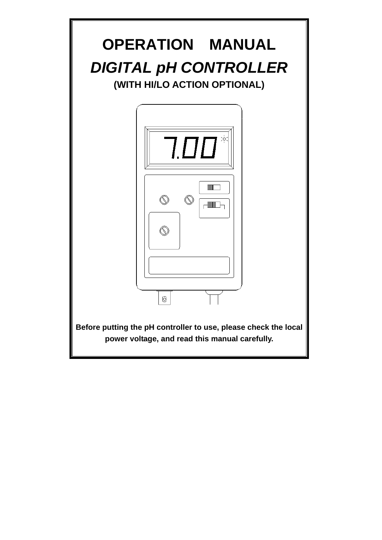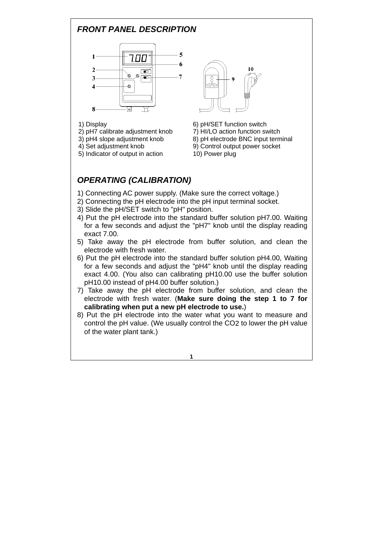### *FRONT PANEL DESCRIPTION*



- 
- 2) pH7 calibrate adjustment knob 7) HI/LO action function switch
- 
- 
- 5) Indicator of output in action 10) Power plug



- 1) Display 6) pH/SET function switch 3) pH4 slope adjustment knob 8) pH electrode BNC input terminal 4) Set adjustment knob 9) Control output power socket
	-

# *OPERATING (CALIBRATION)*

- 1) Connecting AC power supply. (Make sure the correct voltage.)
- 2) Connecting the pH electrode into the pH input terminal socket.
- 3) Slide the pH/SET switch to "pH" position.
- 4) Put the pH electrode into the standard buffer solution pH7.00. Waiting for a few seconds and adjust the "pH7" knob until the display reading exact 7.00.
- 5) Take away the pH electrode from buffer solution, and clean the electrode with fresh water.
- 6) Put the pH electrode into the standard buffer solution pH4.00, Waiting for a few seconds and adjust the "pH4" knob until the display reading exact 4.00. (You also can calibrating pH10.00 use the buffer solution pH10.00 instead of pH4.00 buffer solution.)
- 7) Take away the pH electrode from buffer solution, and clean the electrode with fresh water. (**Make sure doing the step 1 to 7 for calibrating when put a new pH electrode to use.**)
- 8) Put the pH electrode into the water what you want to measure and control the pH value. (We usually control the CO2 to lower the pH value of the water plant tank.)

**1**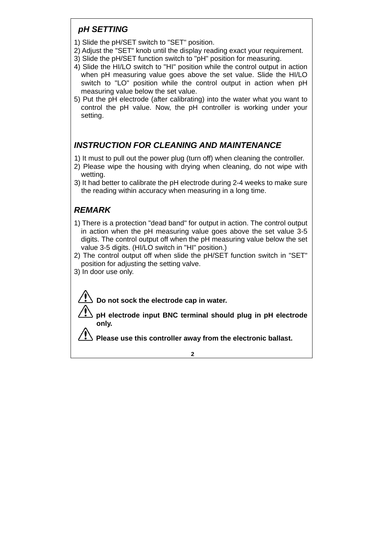#### *pH SETTING*

- 1) Slide the pH/SET switch to "SET" position.
- 2) Adjust the "SET" knob until the display reading exact your requirement.
- 3) Slide the pH/SET function switch to "pH" position for measuring.
- 4) Slide the HI/LO switch to "HI" position while the control output in action when pH measuring value goes above the set value. Slide the HI/LO switch to "LO" position while the control output in action when pH measuring value below the set value.
- 5) Put the pH electrode (after calibrating) into the water what you want to control the pH value. Now, the pH controller is working under your setting.

# *INSTRUCTION FOR CLEANING AND MAINTENANCE*

- 1) It must to pull out the power plug (turn off) when cleaning the controller.
- 2) Please wipe the housing with drying when cleaning, do not wipe with wetting.
- 3) It had better to calibrate the pH electrode during 2-4 weeks to make sure the reading within accuracy when measuring in a long time.

## *REMARK*

- 1) There is a protection "dead band" for output in action. The control output in action when the pH measuring value goes above the set value 3-5 digits. The control output off when the pH measuring value below the set value 3-5 digits. (HI/LO switch in "HI" position.)
- 2) The control output off when slide the pH/SET function switch in "SET" position for adjusting the setting valve.
- 3) In door use only.

 **Do not sock the electrode cap in water.** 

**pH electrode input BNC terminal should plug in pH electrode only.**

**Please use this controller away from the electronic ballast.**

**2**